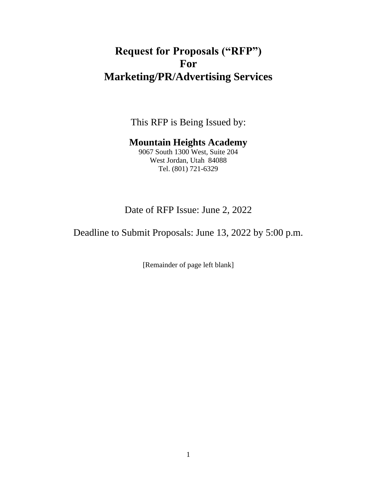# **Request for Proposals ("RFP") For Marketing/PR/Advertising Services**

This RFP is Being Issued by:

# **Mountain Heights Academy**

9067 South 1300 West, Suite 204 West Jordan, Utah 84088 Tel. (801) 721-6329

# Date of RFP Issue: June 2, 2022

Deadline to Submit Proposals: June 13, 2022 by 5:00 p.m.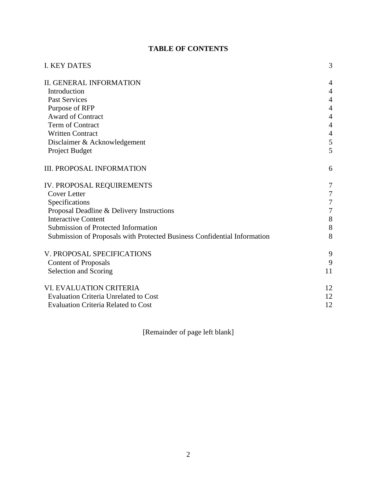# **TABLE OF CONTENTS**

| <b>I. KEY DATES</b>                                                      | 3                |
|--------------------------------------------------------------------------|------------------|
| <b>II. GENERAL INFORMATION</b>                                           | $\overline{4}$   |
| Introduction                                                             | $\overline{4}$   |
| <b>Past Services</b>                                                     | $\overline{4}$   |
| Purpose of RFP                                                           | $\overline{4}$   |
| Award of Contract                                                        | $\overline{4}$   |
| Term of Contract                                                         | 4                |
| <b>Written Contract</b>                                                  | $\overline{4}$   |
| Disclaimer & Acknowledgement                                             | 5                |
| Project Budget                                                           | 5                |
| <b>III. PROPOSAL INFORMATION</b>                                         | 6                |
| IV. PROPOSAL REQUIREMENTS                                                | 7                |
| <b>Cover Letter</b>                                                      | $\boldsymbol{7}$ |
| Specifications                                                           | $\tau$           |
| Proposal Deadline & Delivery Instructions                                | $\boldsymbol{7}$ |
| <b>Interactive Content</b>                                               | 8                |
| Submission of Protected Information                                      | 8                |
| Submission of Proposals with Protected Business Confidential Information | 8                |
| V. PROPOSAL SPECIFICATIONS                                               | 9                |
| <b>Content of Proposals</b>                                              | 9                |
| Selection and Scoring                                                    | 11               |
| VI. EVALUATION CRITERIA                                                  | 12               |
| <b>Evaluation Criteria Unrelated to Cost</b>                             | 12               |
| <b>Evaluation Criteria Related to Cost</b>                               | 12               |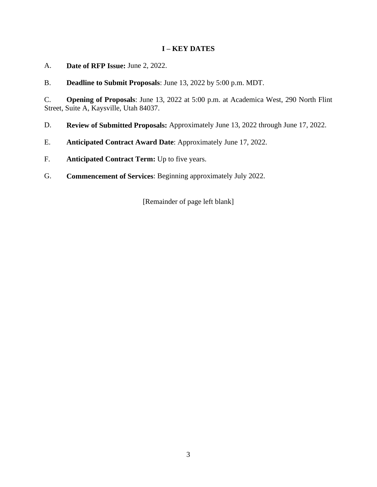# **I – KEY DATES**

- A. **Date of RFP Issue:** June 2, 2022.
- B. **Deadline to Submit Proposals**: June 13, 2022 by 5:00 p.m. MDT.

C. **Opening of Proposals**: June 13, 2022 at 5:00 p.m. at Academica West, 290 North Flint Street, Suite A, Kaysville, Utah 84037.

- D. **Review of Submitted Proposals:** Approximately June 13, 2022 through June 17, 2022.
- E. **Anticipated Contract Award Date**: Approximately June 17, 2022.
- F. **Anticipated Contract Term:** Up to five years.
- G. **Commencement of Services**: Beginning approximately July 2022.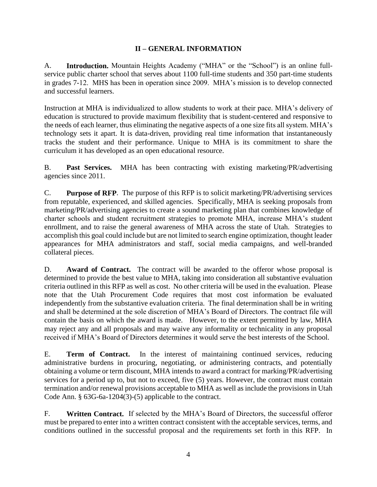# **II – GENERAL INFORMATION**

A. **Introduction.** Mountain Heights Academy ("MHA" or the "School") is an online fullservice public charter school that serves about 1100 full-time students and 350 part-time students in grades 7-12. MHS has been in operation since 2009. MHA's mission is to develop connected and successful learners.

Instruction at MHA is individualized to allow students to work at their pace. MHA's delivery of education is structured to provide maximum flexibility that is student-centered and responsive to the needs of each learner, thus eliminating the negative aspects of a one size fits all system. MHA's technology sets it apart. It is data-driven, providing real time information that instantaneously tracks the student and their performance. Unique to MHA is its commitment to share the curriculum it has developed as an open educational resource.

B. **Past Services.** MHA has been contracting with existing marketing/PR/advertising agencies since 2011.

C. **Purpose of RFP**. The purpose of this RFP is to solicit marketing/PR/advertising services from reputable, experienced, and skilled agencies. Specifically, MHA is seeking proposals from marketing/PR/advertising agencies to create a sound marketing plan that combines knowledge of charter schools and student recruitment strategies to promote MHA, increase MHA's student enrollment, and to raise the general awareness of MHA across the state of Utah. Strategies to accomplish this goal could include but are not limited to search engine optimization, thought leader appearances for MHA administrators and staff, social media campaigns, and well-branded collateral pieces.

D. **Award of Contract.** The contract will be awarded to the offeror whose proposal is determined to provide the best value to MHA, taking into consideration all substantive evaluation criteria outlined in this RFP as well as cost. No other criteria will be used in the evaluation. Please note that the Utah Procurement Code requires that most cost information be evaluated independently from the substantive evaluation criteria. The final determination shall be in writing and shall be determined at the sole discretion of MHA's Board of Directors. The contract file will contain the basis on which the award is made. However, to the extent permitted by law, MHA may reject any and all proposals and may waive any informality or technicality in any proposal received if MHA's Board of Directors determines it would serve the best interests of the School.

E. **Term of Contract.** In the interest of maintaining continued services, reducing administrative burdens in procuring, negotiating, or administering contracts, and potentially obtaining a volume or term discount, MHA intends to award a contract for marking/PR/advertising services for a period up to, but not to exceed, five (5) years. However, the contract must contain termination and/or renewal provisions acceptable to MHA as well as include the provisions in Utah Code Ann. § 63G-6a-1204(3)-(5) applicable to the contract.

F. **Written Contract.** If selected by the MHA's Board of Directors, the successful offeror must be prepared to enter into a written contract consistent with the acceptable services, terms, and conditions outlined in the successful proposal and the requirements set forth in this RFP. In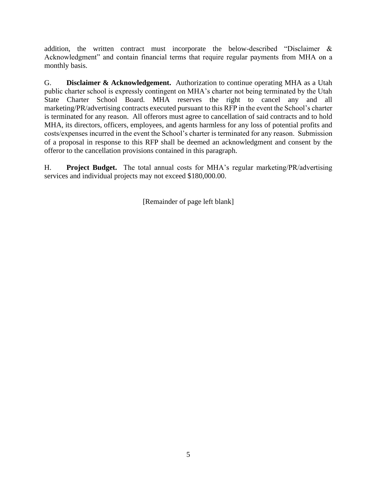addition, the written contract must incorporate the below-described "Disclaimer & Acknowledgment" and contain financial terms that require regular payments from MHA on a monthly basis.

G. **Disclaimer & Acknowledgement.** Authorization to continue operating MHA as a Utah public charter school is expressly contingent on MHA's charter not being terminated by the Utah State Charter School Board. MHA reserves the right to cancel any and all marketing/PR/advertising contracts executed pursuant to this RFP in the event the School's charter is terminated for any reason. All offerors must agree to cancellation of said contracts and to hold MHA, its directors, officers, employees, and agents harmless for any loss of potential profits and costs/expenses incurred in the event the School's charter is terminated for any reason. Submission of a proposal in response to this RFP shall be deemed an acknowledgment and consent by the offeror to the cancellation provisions contained in this paragraph.

H. **Project Budget.** The total annual costs for MHA's regular marketing/PR/advertising services and individual projects may not exceed \$180,000.00.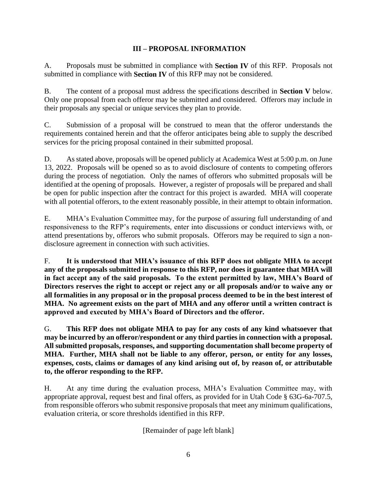# **III – PROPOSAL INFORMATION**

A. Proposals must be submitted in compliance with **Section IV** of this RFP. Proposals not submitted in compliance with **Section IV** of this RFP may not be considered.

B. The content of a proposal must address the specifications described in **Section V** below. Only one proposal from each offeror may be submitted and considered. Offerors may include in their proposals any special or unique services they plan to provide.

C. Submission of a proposal will be construed to mean that the offeror understands the requirements contained herein and that the offeror anticipates being able to supply the described services for the pricing proposal contained in their submitted proposal.

D. As stated above, proposals will be opened publicly at Academica West at 5:00 p.m. on June 13, 2022. Proposals will be opened so as to avoid disclosure of contents to competing offerors during the process of negotiation. Only the names of offerors who submitted proposals will be identified at the opening of proposals. However, a register of proposals will be prepared and shall be open for public inspection after the contract for this project is awarded. MHA will cooperate with all potential offerors, to the extent reasonably possible, in their attempt to obtain information.

E. MHA's Evaluation Committee may, for the purpose of assuring full understanding of and responsiveness to the RFP's requirements, enter into discussions or conduct interviews with, or attend presentations by, offerors who submit proposals. Offerors may be required to sign a nondisclosure agreement in connection with such activities.

F. **It is understood that MHA's issuance of this RFP does not obligate MHA to accept any of the proposals submitted in response to this RFP, nor does it guarantee that MHA will in fact accept any of the said proposals. To the extent permitted by law, MHA's Board of Directors reserves the right to accept or reject any or all proposals and/or to waive any or all formalities in any proposal or in the proposal process deemed to be in the best interest of MHA. No agreement exists on the part of MHA and any offeror until a written contract is approved and executed by MHA's Board of Directors and the offeror.** 

G. **This RFP does not obligate MHA to pay for any costs of any kind whatsoever that may be incurred by an offeror/respondent or any third parties in connection with a proposal. All submitted proposals, responses, and supporting documentation shall become property of MHA. Further, MHA shall not be liable to any offeror, person, or entity for any losses, expenses, costs, claims or damages of any kind arising out of, by reason of, or attributable to, the offeror responding to the RFP.**

H. At any time during the evaluation process, MHA's Evaluation Committee may, with appropriate approval, request best and final offers, as provided for in Utah Code § 63G-6a-707.5, from responsible offerors who submit responsive proposals that meet any minimum qualifications, evaluation criteria, or score thresholds identified in this RFP.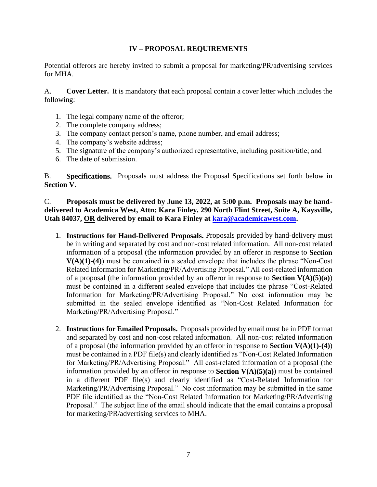## **IV – PROPOSAL REQUIREMENTS**

Potential offerors are hereby invited to submit a proposal for marketing/PR/advertising services for MHA.

A. **Cover Letter.** It is mandatory that each proposal contain a cover letter which includes the following:

- 1. The legal company name of the offeror;
- 2. The complete company address;
- 3. The company contact person's name, phone number, and email address;
- 4. The company's website address;
- 5. The signature of the company's authorized representative, including position/title; and
- 6. The date of submission.

B. **Specifications.** Proposals must address the Proposal Specifications set forth below in **Section V**.

C. **Proposals must be delivered by June 13, 2022, at 5:00 p.m. Proposals may be handdelivered to Academica West, Attn: Kara Finley, 290 North Flint Street, Suite A, Kaysville, Utah 84037, OR delivered by email to Kara Finley at [kara@academicawest.com.](mailto:kara@academicawest.com)**

- 1. **Instructions for Hand-Delivered Proposals.** Proposals provided by hand-delivery must be in writing and separated by cost and non-cost related information. All non-cost related information of a proposal (the information provided by an offeror in response to **Section V(A)(1)-(4)**) must be contained in a sealed envelope that includes the phrase "Non-Cost Related Information for Marketing/PR/Advertising Proposal." All cost-related information of a proposal (the information provided by an offeror in response to **Section V(A)(5)(a)**) must be contained in a different sealed envelope that includes the phrase "Cost-Related Information for Marketing/PR/Advertising Proposal." No cost information may be submitted in the sealed envelope identified as "Non-Cost Related Information for Marketing/PR/Advertising Proposal."
- 2. **Instructions for Emailed Proposals.** Proposals provided by email must be in PDF format and separated by cost and non-cost related information. All non-cost related information of a proposal (the information provided by an offeror in response to **Section V(A)(1)-(4)**) must be contained in a PDF file(s) and clearly identified as "Non-Cost Related Information for Marketing/PR/Advertising Proposal." All cost-related information of a proposal (the information provided by an offeror in response to **Section V(A)(5)(a)**) must be contained in a different PDF file(s) and clearly identified as "Cost-Related Information for Marketing/PR/Advertising Proposal." No cost information may be submitted in the same PDF file identified as the "Non-Cost Related Information for Marketing/PR/Advertising Proposal." The subject line of the email should indicate that the email contains a proposal for marketing/PR/advertising services to MHA.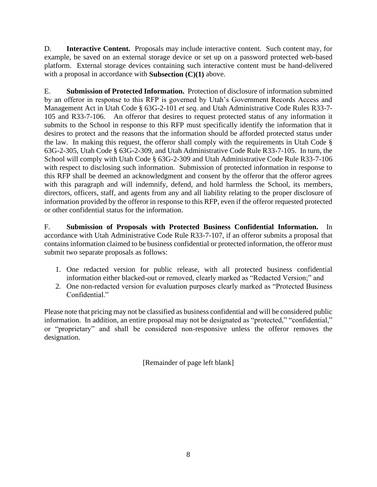D. **Interactive Content.** Proposals may include interactive content. Such content may, for example, be saved on an external storage device or set up on a password protected web-based platform. External storage devices containing such interactive content must be hand-delivered with a proposal in accordance with **Subsection (C)(1)** above.

E. **Submission of Protected Information.** Protection of disclosure of information submitted by an offeror in response to this RFP is governed by Utah's Government Records Access and Management Act in Utah Code § 63G-2-101 *et seq*. and Utah Administrative Code Rules R33-7- 105 and R33-7-106. An offeror that desires to request protected status of any information it submits to the School in response to this RFP must specifically identify the information that it desires to protect and the reasons that the information should be afforded protected status under the law. In making this request, the offeror shall comply with the requirements in Utah Code § 63G-2-305, Utah Code § 63G-2-309, and Utah Administrative Code Rule R33-7-105. In turn, the School will comply with Utah Code § 63G-2-309 and Utah Administrative Code Rule R33-7-106 with respect to disclosing such information. Submission of protected information in response to this RFP shall be deemed an acknowledgment and consent by the offeror that the offeror agrees with this paragraph and will indemnify, defend, and hold harmless the School, its members, directors, officers, staff, and agents from any and all liability relating to the proper disclosure of information provided by the offeror in response to this RFP, even if the offeror requested protected or other confidential status for the information.

F. **Submission of Proposals with Protected Business Confidential Information.** In accordance with Utah Administrative Code Rule R33-7-107, if an offeror submits a proposal that contains information claimed to be business confidential or protected information, the offeror must submit two separate proposals as follows:

- 1. One redacted version for public release, with all protected business confidential information either blacked-out or removed, clearly marked as "Redacted Version;" and
- 2. One non-redacted version for evaluation purposes clearly marked as "Protected Business Confidential."

Please note that pricing may not be classified as business confidential and will be considered public information. In addition, an entire proposal may not be designated as "protected," "confidential," or "proprietary" and shall be considered non-responsive unless the offeror removes the designation.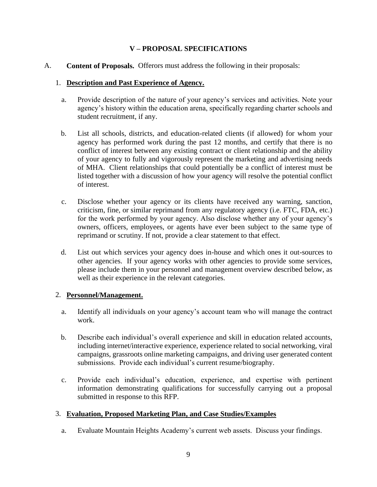# **V – PROPOSAL SPECIFICATIONS**

A. **Content of Proposals.** Offerors must address the following in their proposals:

#### 1. **Description and Past Experience of Agency.**

- a. Provide description of the nature of your agency's services and activities. Note your agency's history within the education arena, specifically regarding charter schools and student recruitment, if any.
- b. List all schools, districts, and education-related clients (if allowed) for whom your agency has performed work during the past 12 months, and certify that there is no conflict of interest between any existing contract or client relationship and the ability of your agency to fully and vigorously represent the marketing and advertising needs of MHA. Client relationships that could potentially be a conflict of interest must be listed together with a discussion of how your agency will resolve the potential conflict of interest.
- c. Disclose whether your agency or its clients have received any warning, sanction, criticism, fine, or similar reprimand from any regulatory agency (i.e. FTC, FDA, etc.) for the work performed by your agency. Also disclose whether any of your agency's owners, officers, employees, or agents have ever been subject to the same type of reprimand or scrutiny. If not, provide a clear statement to that effect.
- d. List out which services your agency does in-house and which ones it out-sources to other agencies. If your agency works with other agencies to provide some services, please include them in your personnel and management overview described below, as well as their experience in the relevant categories.

#### 2. **Personnel/Management.**

- a. Identify all individuals on your agency's account team who will manage the contract work.
- b. Describe each individual's overall experience and skill in education related accounts, including internet/interactive experience, experience related to social networking, viral campaigns, grassroots online marketing campaigns, and driving user generated content submissions. Provide each individual's current resume/biography.
- c. Provide each individual's education, experience, and expertise with pertinent information demonstrating qualifications for successfully carrying out a proposal submitted in response to this RFP.

## 3. **Evaluation, Proposed Marketing Plan, and Case Studies/Examples**

a. Evaluate Mountain Heights Academy's current web assets. Discuss your findings.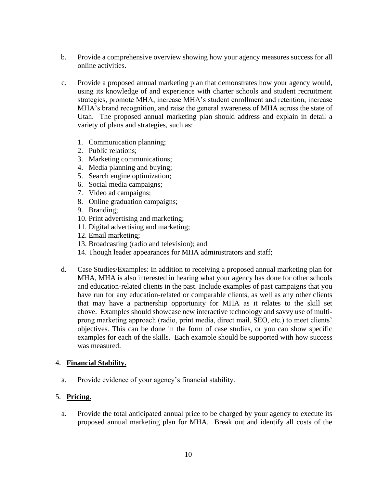- b. Provide a comprehensive overview showing how your agency measures success for all online activities.
- c. Provide a proposed annual marketing plan that demonstrates how your agency would, using its knowledge of and experience with charter schools and student recruitment strategies, promote MHA, increase MHA's student enrollment and retention, increase MHA's brand recognition, and raise the general awareness of MHA across the state of Utah. The proposed annual marketing plan should address and explain in detail a variety of plans and strategies, such as:
	- 1. Communication planning;
	- 2. Public relations;
	- 3. Marketing communications;
	- 4. Media planning and buying;
	- 5. Search engine optimization;
	- 6. Social media campaigns;
	- 7. Video ad campaigns;
	- 8. Online graduation campaigns;
	- 9. Branding;
	- 10. Print advertising and marketing;
	- 11. Digital advertising and marketing;
	- 12. Email marketing;
	- 13. Broadcasting (radio and television); and
	- 14. Though leader appearances for MHA administrators and staff;
- d. Case Studies/Examples: In addition to receiving a proposed annual marketing plan for MHA, MHA is also interested in hearing what your agency has done for other schools and education-related clients in the past. Include examples of past campaigns that you have run for any education-related or comparable clients, as well as any other clients that may have a partnership opportunity for MHA as it relates to the skill set above. Examples should showcase new interactive technology and savvy use of multiprong marketing approach (radio, print media, direct mail, SEO, etc.) to meet clients' objectives. This can be done in the form of case studies, or you can show specific examples for each of the skills. Each example should be supported with how success was measured.

#### 4. **Financial Stability.**

a. Provide evidence of your agency's financial stability.

## 5. **Pricing.**

a. Provide the total anticipated annual price to be charged by your agency to execute its proposed annual marketing plan for MHA. Break out and identify all costs of the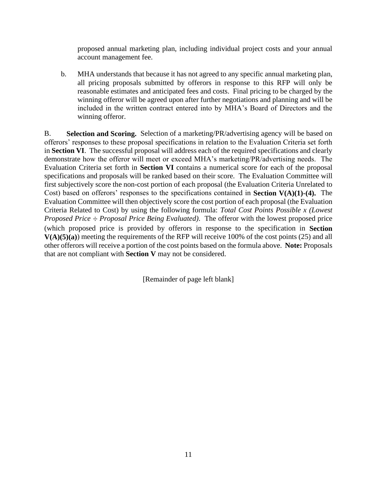proposed annual marketing plan, including individual project costs and your annual account management fee.

b. MHA understands that because it has not agreed to any specific annual marketing plan, all pricing proposals submitted by offerors in response to this RFP will only be reasonable estimates and anticipated fees and costs. Final pricing to be charged by the winning offeror will be agreed upon after further negotiations and planning and will be included in the written contract entered into by MHA's Board of Directors and the winning offeror.

B. **Selection and Scoring.** Selection of a marketing/PR/advertising agency will be based on offerors' responses to these proposal specifications in relation to the Evaluation Criteria set forth in **Section VI**. The successful proposal will address each of the required specifications and clearly demonstrate how the offeror will meet or exceed MHA's marketing/PR/advertising needs. The Evaluation Criteria set forth in **Section VI** contains a numerical score for each of the proposal specifications and proposals will be ranked based on their score. The Evaluation Committee will first subjectively score the non-cost portion of each proposal (the Evaluation Criteria Unrelated to Cost) based on offerors' responses to the specifications contained in **Section V(A)(1)-(4).** The Evaluation Committee will then objectively score the cost portion of each proposal (the Evaluation Criteria Related to Cost) by using the following formula: *Total Cost Points Possible x (Lowest Proposed Price ÷ Proposal Price Being Evaluated)*. The offeror with the lowest proposed price (which proposed price is provided by offerors in response to the specification in **Section V(A)(5)(a)**) meeting the requirements of the RFP will receive 100% of the cost points (25) and all other offerors will receive a portion of the cost points based on the formula above. **Note:** Proposals that are not compliant with **Section V** may not be considered.